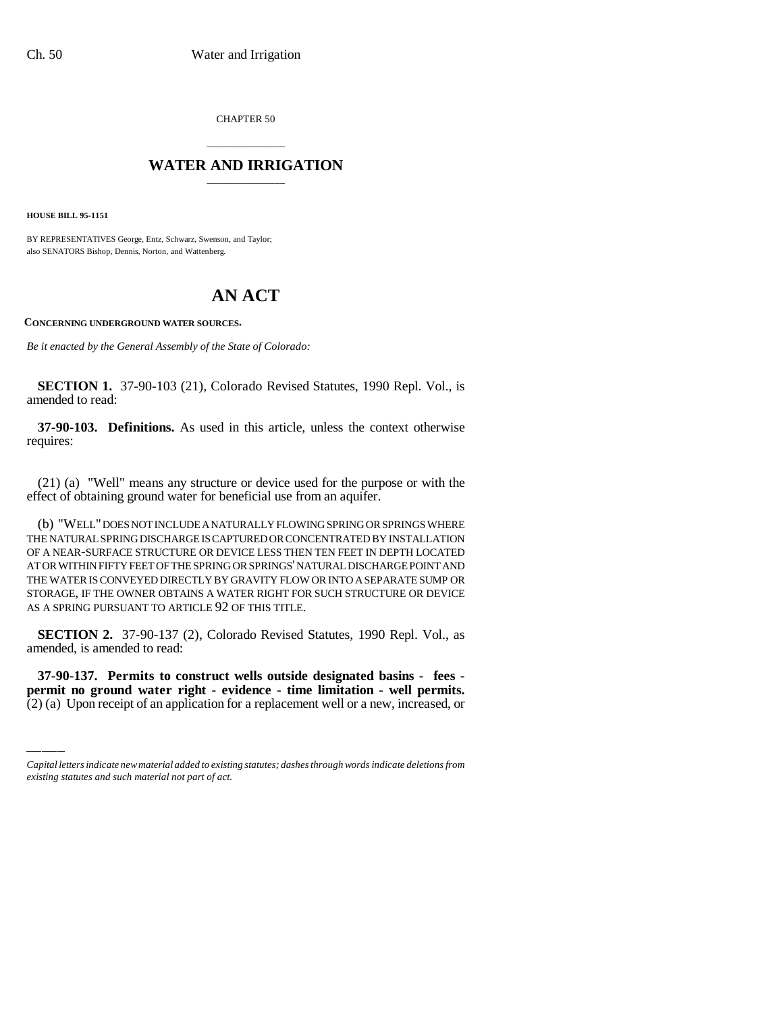CHAPTER 50

## \_\_\_\_\_\_\_\_\_\_\_\_\_\_\_ **WATER AND IRRIGATION** \_\_\_\_\_\_\_\_\_\_\_\_\_\_\_

**HOUSE BILL 95-1151**

BY REPRESENTATIVES George, Entz, Schwarz, Swenson, and Taylor; also SENATORS Bishop, Dennis, Norton, and Wattenberg.

## **AN ACT**

**CONCERNING UNDERGROUND WATER SOURCES.**

*Be it enacted by the General Assembly of the State of Colorado:*

**SECTION 1.** 37-90-103 (21), Colorado Revised Statutes, 1990 Repl. Vol., is amended to read:

**37-90-103. Definitions.** As used in this article, unless the context otherwise requires:

(21) (a) "Well" means any structure or device used for the purpose or with the effect of obtaining ground water for beneficial use from an aquifer.

(b) "WELL" DOES NOT INCLUDE A NATURALLY FLOWING SPRING OR SPRINGS WHERE THE NATURAL SPRING DISCHARGE IS CAPTURED OR CONCENTRATED BY INSTALLATION OF A NEAR-SURFACE STRUCTURE OR DEVICE LESS THEN TEN FEET IN DEPTH LOCATED AT OR WITHIN FIFTY FEET OF THE SPRING OR SPRINGS' NATURAL DISCHARGE POINT AND THE WATER IS CONVEYED DIRECTLY BY GRAVITY FLOW OR INTO A SEPARATE SUMP OR STORAGE, IF THE OWNER OBTAINS A WATER RIGHT FOR SUCH STRUCTURE OR DEVICE AS A SPRING PURSUANT TO ARTICLE 92 OF THIS TITLE.

amended, is amended to read: **SECTION 2.** 37-90-137 (2), Colorado Revised Statutes, 1990 Repl. Vol., as

**37-90-137. Permits to construct wells outside designated basins - fees permit no ground water right - evidence - time limitation - well permits.**  $(2)$  (a) Upon receipt of an application for a replacement well or a new, increased, or

*Capital letters indicate new material added to existing statutes; dashes through words indicate deletions from existing statutes and such material not part of act.*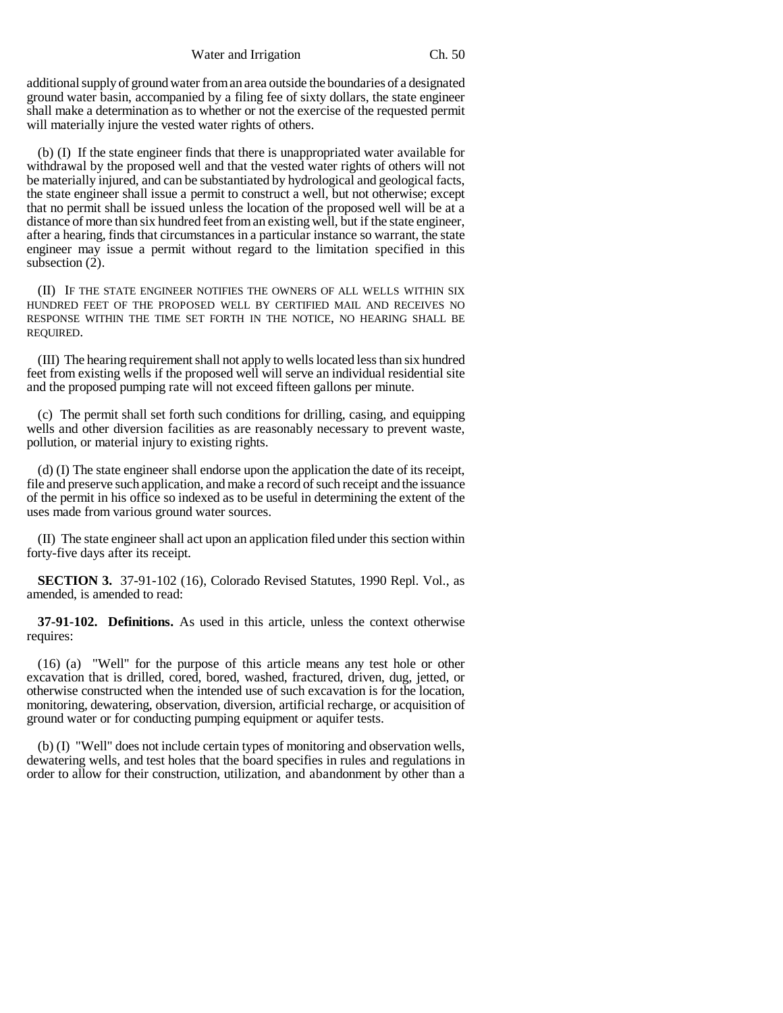Water and Irrigation Ch. 50

additional supply of ground water from an area outside the boundaries of a designated ground water basin, accompanied by a filing fee of sixty dollars, the state engineer shall make a determination as to whether or not the exercise of the requested permit will materially injure the vested water rights of others.

(b) (I) If the state engineer finds that there is unappropriated water available for withdrawal by the proposed well and that the vested water rights of others will not be materially injured, and can be substantiated by hydrological and geological facts, the state engineer shall issue a permit to construct a well, but not otherwise; except that no permit shall be issued unless the location of the proposed well will be at a distance of more than six hundred feet from an existing well, but if the state engineer, after a hearing, finds that circumstances in a particular instance so warrant, the state engineer may issue a permit without regard to the limitation specified in this subsection (2).

(II) IF THE STATE ENGINEER NOTIFIES THE OWNERS OF ALL WELLS WITHIN SIX HUNDRED FEET OF THE PROPOSED WELL BY CERTIFIED MAIL AND RECEIVES NO RESPONSE WITHIN THE TIME SET FORTH IN THE NOTICE, NO HEARING SHALL BE REQUIRED.

(III) The hearing requirement shall not apply to wells located less than six hundred feet from existing wells if the proposed well will serve an individual residential site and the proposed pumping rate will not exceed fifteen gallons per minute.

(c) The permit shall set forth such conditions for drilling, casing, and equipping wells and other diversion facilities as are reasonably necessary to prevent waste, pollution, or material injury to existing rights.

(d) (I) The state engineer shall endorse upon the application the date of its receipt, file and preserve such application, and make a record of such receipt and the issuance of the permit in his office so indexed as to be useful in determining the extent of the uses made from various ground water sources.

(II) The state engineer shall act upon an application filed under this section within forty-five days after its receipt.

**SECTION 3.** 37-91-102 (16), Colorado Revised Statutes, 1990 Repl. Vol., as amended, is amended to read:

**37-91-102. Definitions.** As used in this article, unless the context otherwise requires:

(16) (a) "Well" for the purpose of this article means any test hole or other excavation that is drilled, cored, bored, washed, fractured, driven, dug, jetted, or otherwise constructed when the intended use of such excavation is for the location, monitoring, dewatering, observation, diversion, artificial recharge, or acquisition of ground water or for conducting pumping equipment or aquifer tests.

(b) (I) "Well" does not include certain types of monitoring and observation wells, dewatering wells, and test holes that the board specifies in rules and regulations in order to allow for their construction, utilization, and abandonment by other than a